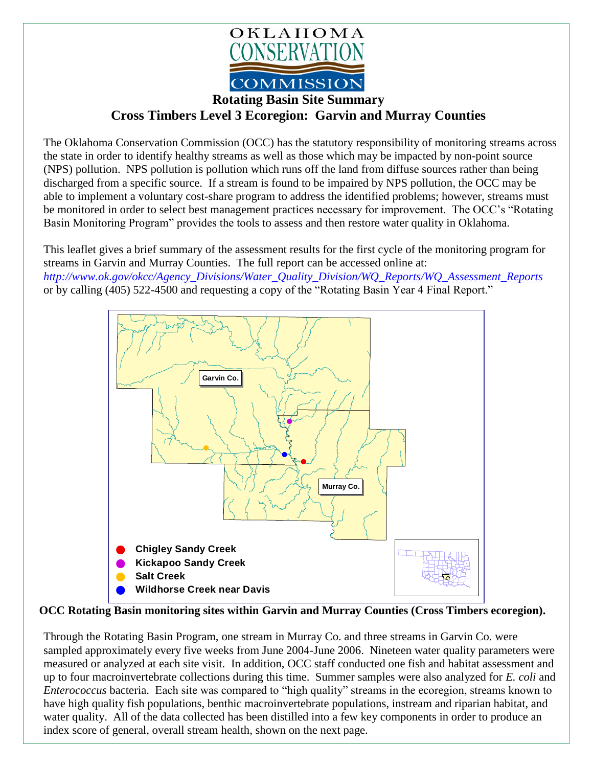

## **Cross Timbers Level 3 Ecoregion: Garvin and Murray Counties**

The Oklahoma Conservation Commission (OCC) has the statutory responsibility of monitoring streams across the state in order to identify healthy streams as well as those which may be impacted by non-point source (NPS) pollution. NPS pollution is pollution which runs off the land from diffuse sources rather than being discharged from a specific source. If a stream is found to be impaired by NPS pollution, the OCC may be able to implement a voluntary cost-share program to address the identified problems; however, streams must be monitored in order to select best management practices necessary for improvement. The OCC's "Rotating Basin Monitoring Program" provides the tools to assess and then restore water quality in Oklahoma.

This leaflet gives a brief summary of the assessment results for the first cycle of the monitoring program for streams in Garvin and Murray Counties. The full report can be accessed online at: *[http://www.ok.gov/okcc/Agency\\_Divisions/Water\\_Quality\\_Division/WQ\\_Reports/WQ\\_Assessment\\_Reports](http://www.ok.gov/okcc/Agency_Divisions/Water_Quality_Division/WQ_Reports/WQ_Assessment_Reports)* or by calling (405) 522-4500 and requesting a copy of the "Rotating Basin Year 4 Final Report."



**OCC Rotating Basin monitoring sites within Garvin and Murray Counties (Cross Timbers ecoregion).**

Through the Rotating Basin Program, one stream in Murray Co. and three streams in Garvin Co. were sampled approximately every five weeks from June 2004-June 2006. Nineteen water quality parameters were measured or analyzed at each site visit. In addition, OCC staff conducted one fish and habitat assessment and up to four macroinvertebrate collections during this time. Summer samples were also analyzed for *E. coli* and *Enterococcus* bacteria. Each site was compared to "high quality" streams in the ecoregion, streams known to have high quality fish populations, benthic macroinvertebrate populations, instream and riparian habitat, and water quality. All of the data collected has been distilled into a few key components in order to produce an index score of general, overall stream health, shown on the next page.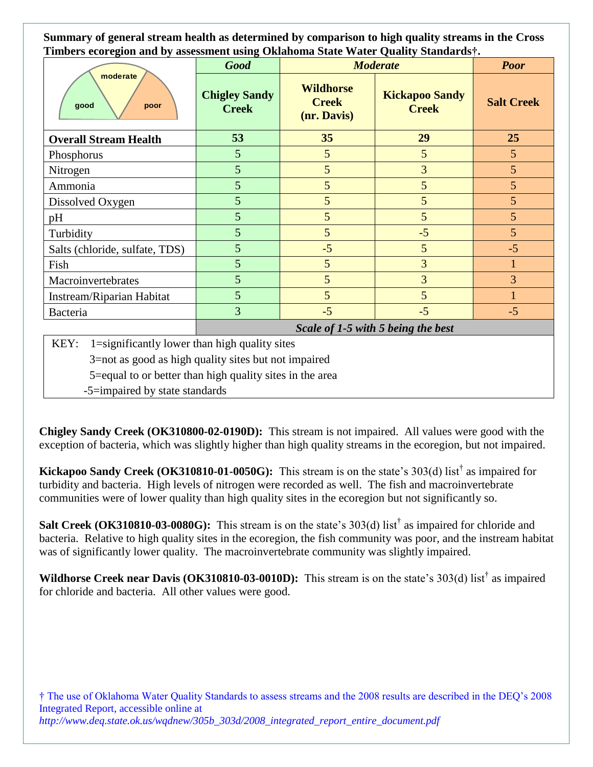**Summary of general stream health as determined by comparison to high quality streams in the Cross Timbers ecoregion and by assessment using Oklahoma State Water Quality Standards†.**

| 0<br>moderate<br>good<br>poor  | $\mathbf{\sigma}$<br><b>Good</b>     | <b>Moderate</b>                                 |                                       | <b>Poor</b>       |
|--------------------------------|--------------------------------------|-------------------------------------------------|---------------------------------------|-------------------|
|                                | <b>Chigley Sandy</b><br><b>Creek</b> | <b>Wildhorse</b><br><b>Creek</b><br>(nr. Davis) | <b>Kickapoo Sandy</b><br><b>Creek</b> | <b>Salt Creek</b> |
| <b>Overall Stream Health</b>   | 53                                   | 35                                              | 29                                    | 25                |
| Phosphorus                     | 5                                    | 5                                               | 5                                     | 5                 |
| Nitrogen                       | 5                                    | $5\overline{)}$                                 | 3                                     | 5                 |
| Ammonia                        | 5                                    | 5                                               | 5                                     | 5                 |
| Dissolved Oxygen               | 5                                    | 5                                               | 5                                     | 5                 |
| pH                             | 5                                    | 5                                               | 5                                     | 5                 |
| Turbidity                      | 5                                    | 5                                               | $-5$                                  | 5                 |
| Salts (chloride, sulfate, TDS) | 5                                    | $-5$                                            | 5                                     | $-5$              |
| Fish                           | 5                                    | 5                                               | 3                                     |                   |
| Macroinvertebrates             | 5                                    | 5                                               | 3                                     | 3                 |
| Instream/Riparian Habitat      | 5                                    | 5                                               | 5                                     |                   |
| Bacteria                       | 3                                    | $-5$                                            | $-5$                                  | $-5$              |

*Scale of 1-5 with 5 being the best*

KEY: 1=significantly lower than high quality sites

3=not as good as high quality sites but not impaired

5=equal to or better than high quality sites in the area

-5=impaired by state standards

**Chigley Sandy Creek (OK310800-02-0190D):** This stream is not impaired. All values were good with the exception of bacteria, which was slightly higher than high quality streams in the ecoregion, but not impaired.

**Kickapoo Sandy Creek (OK310810-01-0050G):** This stream is on the state's 303(d) list† as impaired for turbidity and bacteria. High levels of nitrogen were recorded as well. The fish and macroinvertebrate communities were of lower quality than high quality sites in the ecoregion but not significantly so.

Salt Creek (OK310810-03-0080G): This stream is on the state's 303(d) list<sup>†</sup> as impaired for chloride and bacteria. Relative to high quality sites in the ecoregion, the fish community was poor, and the instream habitat was of significantly lower quality. The macroinvertebrate community was slightly impaired.

**Wildhorse Creek near Davis (OK310810-03-0010D):** This stream is on the state's 303(d) list† as impaired for chloride and bacteria. All other values were good.

† The use of Oklahoma Water Quality Standards to assess streams and the 2008 results are described in the DEQ's 2008 Integrated Report, accessible online at *http://www.deq.state.ok.us/wqdnew/305b\_303d/2008\_integrated\_report\_entire\_document.pdf*